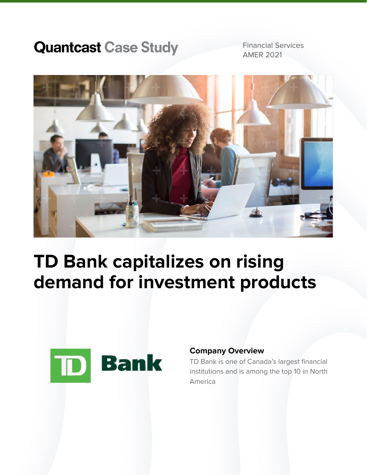## **Quantcast Case Study**

Financial Services AMER 2021



# **TD Bank capitalizes on rising demand for investment products**



### **Company Overview**

TD Bank is one of Canada's largest financial institutions and is among the top 10 in North America